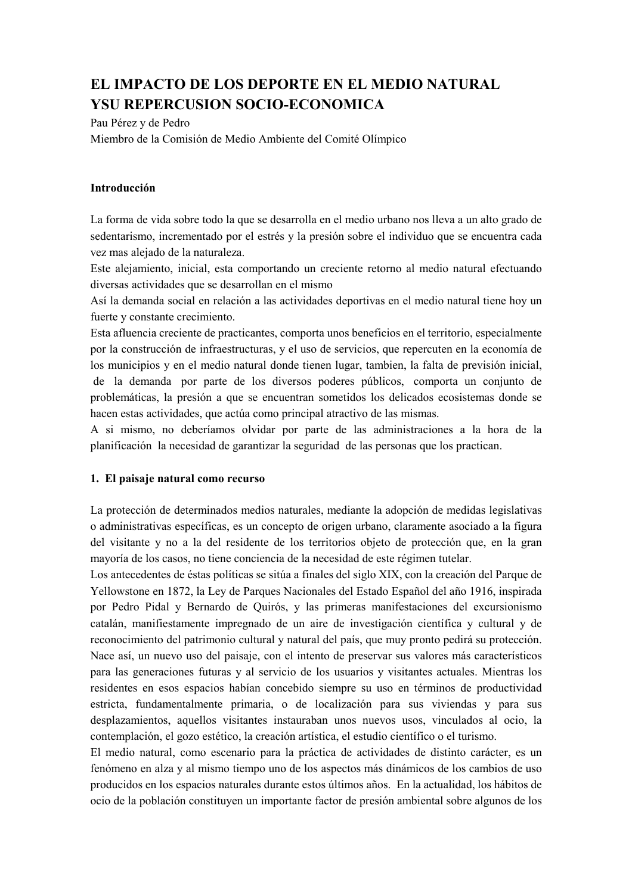# EL IMPACTO DE LOS DEPORTE EN EL MEDIO NATURAL **YSU REPERCUSION SOCIO-ECONOMICA**

Pau Pérez y de Pedro

Miembro de la Comisión de Medio Ambiente del Comité Olímpico

## Introducción

La forma de vida sobre todo la que se desarrolla en el medio urbano nos lleva a un alto grado de sedentarismo, incrementado por el estrés y la presión sobre el individuo que se encuentra cada vez mas alejado de la naturaleza.

Este alejamiento, inicial, esta comportando un creciente retorno al medio natural efectuando diversas actividades que se desarrollan en el mismo

Así la demanda social en relación a las actividades deportivas en el medio natural tiene hoy un fuerte y constante crecimiento.

Esta afluencia creciente de practicantes, comporta unos beneficios en el territorio, especialmente por la construcción de infraestructuras, y el uso de servicios, que repercuten en la economía de los municipios y en el medio natural donde tienen lugar, tambien, la falta de previsión inicial, de la demanda por parte de los diversos poderes públicos, comporta un conjunto de problemáticas, la presión a que se encuentran sometidos los delicados ecosistemas donde se hacen estas actividades, que actúa como principal atractivo de las mismas.

A si mismo, no deberíamos olvidar por parte de las administraciones a la hora de la planificación la necesidad de garantizar la seguridad de las personas que los practican.

## 1. El paisaje natural como recurso

La protección de determinados medios naturales, mediante la adopción de medidas legislativas o administrativas específicas, es un concepto de origen urbano, claramente asociado a la figura del visitante y no a la del residente de los territorios objeto de protección que, en la gran mayoría de los casos, no tiene conciencia de la necesidad de este régimen tutelar.

Los antecedentes de éstas políticas se sitúa a finales del siglo XIX, con la creación del Parque de Yellowstone en 1872, la Ley de Parques Nacionales del Estado Español del año 1916, inspirada por Pedro Pidal y Bernardo de Quirós, y las primeras manifestaciones del excursionismo catalán, manifiestamente impregnado de un aire de investigación científica y cultural y de reconocimiento del patrimonio cultural y natural del país, que muy pronto pedirá su protección. Nace así, un nuevo uso del paisaje, con el intento de preservar sus valores más característicos para las generaciones futuras y al servicio de los usuarios y visitantes actuales. Mientras los residentes en esos espacios habían concebido siempre su uso en términos de productividad estricta, fundamentalmente primaria, o de localización para sus viviendas y para sus desplazamientos, aquellos visitantes instauraban unos nuevos usos, vinculados al ocio, la contemplación, el gozo estético, la creación artística, el estudio científico o el turismo.

El medio natural, como escenario para la práctica de actividades de distinto carácter, es un fenómeno en alza y al mismo tiempo uno de los aspectos más dinámicos de los cambios de uso producidos en los espacios naturales durante estos últimos años. En la actualidad, los hábitos de ocio de la población constituyen un importante factor de presión ambiental sobre algunos de los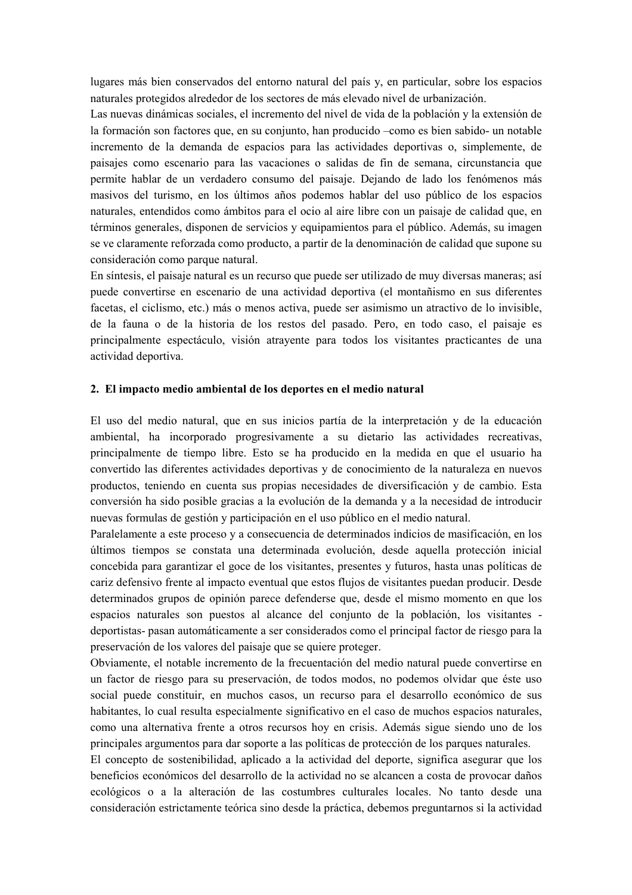lugares más bien conservados del entorno natural del país y, en particular, sobre los espacios naturales protegidos alrededor de los sectores de más elevado nivel de urbanización.

Las nuevas dinámicas sociales, el incremento del nivel de vida de la población y la extensión de la formación son factores que, en su conjunto, han producido -como es bien sabido- un notable incremento de la demanda de espacios para las actividades deportivas o, simplemente, de paisajes como escenario para las vacaciones o salidas de fin de semana, circunstancia que permite hablar de un verdadero consumo del paisaje. Dejando de lado los fenómenos más masivos del turismo, en los últimos años podemos hablar del uso público de los espacios naturales, entendidos como ámbitos para el ocio al aire libre con un paisaje de calidad que, en términos generales, disponen de servicios y equipamientos para el público. Además, su imagen se ve claramente reforzada como producto, a partir de la denominación de calidad que supone su consideración como parque natural.

En síntesis, el paisaje natural es un recurso que puede ser utilizado de muy diversas maneras; así puede convertirse en escenario de una actividad deportiva (el montañismo en sus diferentes facetas, el ciclismo, etc.) más o menos activa, puede ser asimismo un atractivo de lo invisible, de la fauna o de la historia de los restos del pasado. Pero, en todo caso, el paisaje es principalmente espectáculo, visión atrayente para todos los visitantes practicantes de una actividad deportiva.

#### 2. El impacto medio ambiental de los deportes en el medio natural

El uso del medio natural, que en sus inicios partía de la interpretación y de la educación ambiental, ha incorporado progresivamente a su dietario las actividades recreativas, principalmente de tiempo libre. Esto se ha producido en la medida en que el usuario ha convertido las diferentes actividades deportivas y de conocimiento de la naturaleza en nuevos productos, teniendo en cuenta sus propias necesidades de diversificación y de cambio. Esta conversión ha sido posible gracias a la evolución de la demanda y a la necesidad de introducir nuevas formulas de gestión y participación en el uso público en el medio natural.

Paralelamente a este proceso y a consecuencia de determinados indicios de masificación, en los últimos tiempos se constata una determinada evolución, desde aquella protección inicial concebida para garantizar el goce de los visitantes, presentes y futuros, hasta unas políticas de cariz defensivo frente al impacto eventual que estos flujos de visitantes puedan producir. Desde determinados grupos de opinión parece defenderse que, desde el mismo momento en que los espacios naturales son puestos al alcance del conjunto de la población, los visitantes deportistas- pasan automáticamente a ser considerados como el principal factor de riesgo para la preservación de los valores del paisaje que se quiere proteger.

Obviamente, el notable incremento de la frecuentación del medio natural puede convertirse en un factor de riesgo para su preservación, de todos modos, no podemos olvidar que éste uso social puede constituir, en muchos casos, un recurso para el desarrollo económico de sus habitantes, lo cual resulta especialmente significativo en el caso de muchos espacios naturales, como una alternativa frente a otros recursos hoy en crisis. Además sigue siendo uno de los principales argumentos para dar soporte a las políticas de protección de los parques naturales.

El concepto de sostenibilidad, aplicado a la actividad del deporte, significa asegurar que los beneficios económicos del desarrollo de la actividad no se alcancen a costa de provocar daños ecológicos o a la alteración de las costumbres culturales locales. No tanto desde una consideración estrictamente teórica sino desde la práctica, debemos preguntarnos si la actividad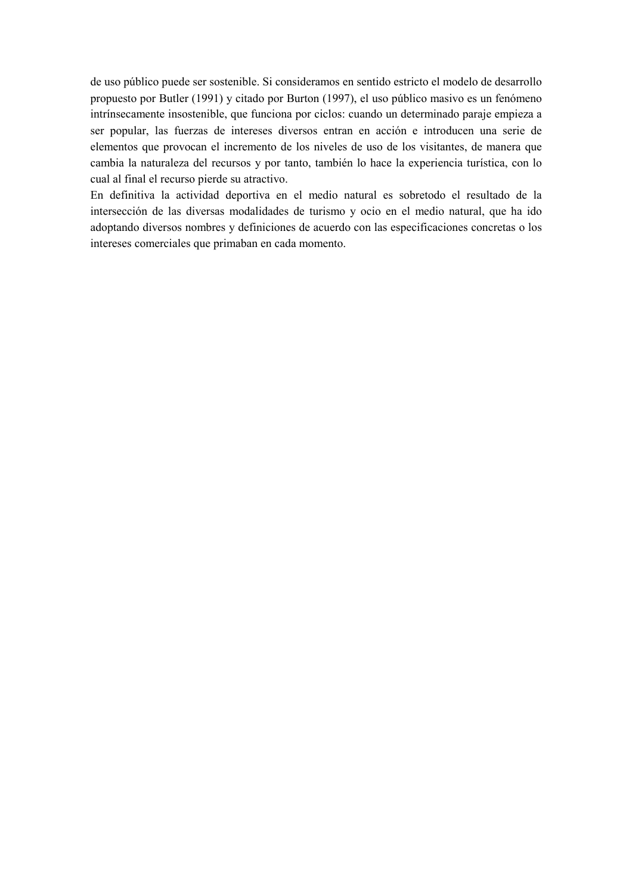de uso público puede ser sostenible. Si consideramos en sentido estricto el modelo de desarrollo propuesto por Butler (1991) y citado por Burton (1997), el uso público masivo es un fenómeno intrínsecamente insostenible, que funciona por ciclos: cuando un determinado paraje empieza a ser popular, las fuerzas de intereses diversos entran en acción e introducen una serie de elementos que provocan el incremento de los niveles de uso de los visitantes, de manera que cambia la naturaleza del recursos y por tanto, también lo hace la experiencia turística, con lo cual al final el recurso pierde su atractivo.

En definitiva la actividad deportiva en el medio natural es sobretodo el resultado de la intersección de las diversas modalidades de turismo y ocio en el medio natural, que ha ido adoptando diversos nombres y definiciones de acuerdo con las especificaciones concretas o los intereses comerciales que primaban en cada momento.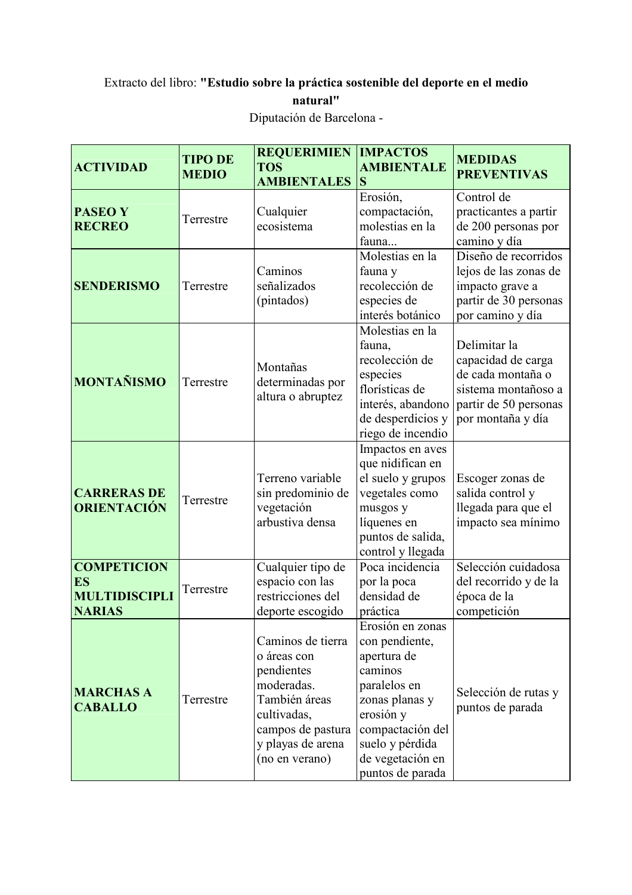## Extracto del libro: "Estudio sobre la práctica sostenible del deporte en el medio natural" Diputación de Barcelona -

| <b>ACTIVIDAD</b>                                                         | <b>TIPO DE</b><br><b>MEDIO</b> | <b>REQUERIMIEN</b><br><b>TOS</b><br><b>AMBIENTALES</b>                                                                                                   | <b>IMPACTOS</b><br><b>AMBIENTALE</b><br>S                                                                                                                                                  | <b>MEDIDAS</b><br><b>PREVENTIVAS</b>                                                                                         |
|--------------------------------------------------------------------------|--------------------------------|----------------------------------------------------------------------------------------------------------------------------------------------------------|--------------------------------------------------------------------------------------------------------------------------------------------------------------------------------------------|------------------------------------------------------------------------------------------------------------------------------|
| <b>PASEO Y</b><br><b>RECREO</b>                                          | Terrestre                      | Cualquier<br>ecosistema                                                                                                                                  | Erosión,<br>compactación,<br>molestias en la<br>fauna                                                                                                                                      | Control de<br>practicantes a partir<br>de 200 personas por<br>camino y día                                                   |
| <b>SENDERISMO</b>                                                        | Terrestre                      | Caminos<br>señalizados<br>(pintados)                                                                                                                     | Molestias en la<br>fauna y<br>recolección de<br>especies de<br>interés botánico                                                                                                            | Diseño de recorridos<br>lejos de las zonas de<br>impacto grave a<br>partir de 30 personas<br>por camino y día                |
| <b>MONTAÑISMO</b>                                                        | Terrestre                      | Montañas<br>determinadas por<br>altura o abruptez                                                                                                        | Molestias en la<br>fauna,<br>recolección de<br>especies<br>florísticas de<br>interés, abandono<br>de desperdicios y<br>riego de incendio                                                   | Delimitar la<br>capacidad de carga<br>de cada montaña o<br>sistema montañoso a<br>partir de 50 personas<br>por montaña y día |
| <b>CARRERAS DE</b><br><b>ORIENTACIÓN</b>                                 | Terrestre                      | Terreno variable<br>sin predominio de<br>vegetación<br>arbustiva densa                                                                                   | Impactos en aves<br>que nidifican en<br>el suelo y grupos<br>vegetales como<br>musgos y<br>líquenes en<br>puntos de salida,<br>control y llegada                                           | Escoger zonas de<br>salida control y<br>llegada para que el<br>impacto sea mínimo                                            |
| <b>COMPETICION</b><br><b>ES</b><br><b>MULTIDISCIPLI</b><br><b>NARIAS</b> | Terrestre                      | Cualquier tipo de<br>espacio con las<br>restricciones del<br>deporte escogido                                                                            | Poca incidencia<br>por la poca<br>densidad de<br>práctica                                                                                                                                  | Selección cuidadosa<br>del recorrido y de la<br>época de la<br>competición                                                   |
| <b>MARCHAS A</b><br><b>CABALLO</b>                                       | Terrestre                      | Caminos de tierra<br>o áreas con<br>pendientes<br>moderadas.<br>También áreas<br>cultivadas,<br>campos de pastura<br>y playas de arena<br>(no en verano) | Erosión en zonas<br>con pendiente,<br>apertura de<br>caminos<br>paralelos en<br>zonas planas y<br>erosión y<br>compactación del<br>suelo y pérdida<br>de vegetación en<br>puntos de parada | Selección de rutas y<br>puntos de parada                                                                                     |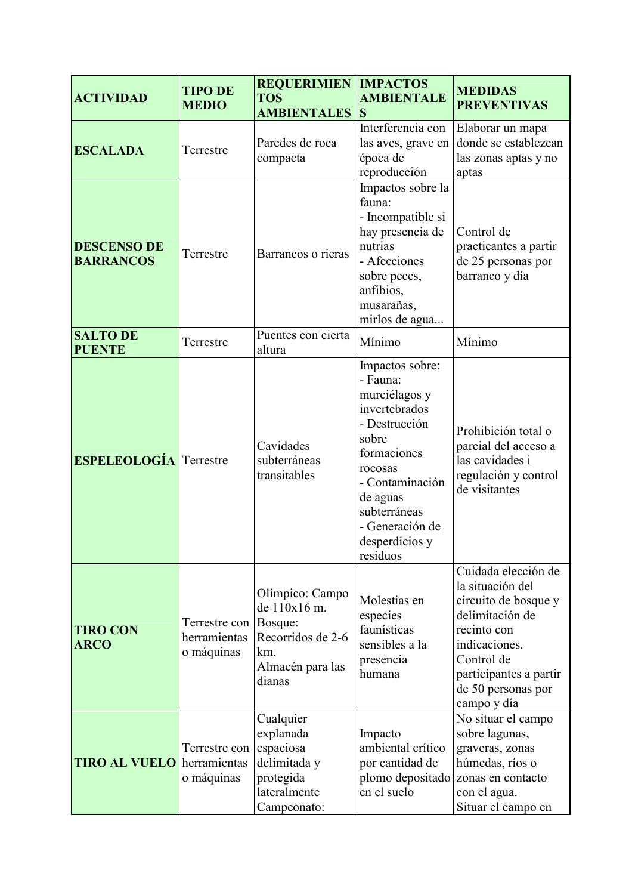| <b>ACTIVIDAD</b>                       | <b>TIPO DE</b><br><b>MEDIO</b>              | <b>REQUERIMIEN   IMPACTOS</b><br><b>TOS</b><br><b>AMBIENTALES</b>                                    | <b>AMBIENTALE</b><br><b>S</b>                                                                                                                                                                                     | <b>MEDIDAS</b><br><b>PREVENTIVAS</b>                                                                                                                                                            |
|----------------------------------------|---------------------------------------------|------------------------------------------------------------------------------------------------------|-------------------------------------------------------------------------------------------------------------------------------------------------------------------------------------------------------------------|-------------------------------------------------------------------------------------------------------------------------------------------------------------------------------------------------|
| <b>ESCALADA</b>                        | Terrestre                                   | Paredes de roca<br>compacta                                                                          | Interferencia con<br>las aves, grave en<br>época de<br>reproducción                                                                                                                                               | Elaborar un mapa<br>donde se establezcan<br>las zonas aptas y no<br>aptas                                                                                                                       |
| <b>DESCENSO DE</b><br><b>BARRANCOS</b> | Terrestre                                   | Barrancos o rieras                                                                                   | Impactos sobre la<br>fauna:<br>- Incompatible si<br>hay presencia de<br>nutrias<br>- Afecciones<br>sobre peces,<br>anfibios,<br>musarañas,<br>mirlos de agua                                                      | Control de<br>practicantes a partir<br>de 25 personas por<br>barranco y día                                                                                                                     |
| <b>SALTO DE</b><br><b>PUENTE</b>       | Terrestre                                   | Puentes con cierta<br>altura                                                                         | Mínimo                                                                                                                                                                                                            | Mínimo                                                                                                                                                                                          |
| <b>ESPELEOLOGÍA</b> Terrestre          |                                             | Cavidades<br>subterráneas<br>transitables                                                            | Impactos sobre:<br>- Fauna:<br>murciélagos y<br>invertebrados<br>- Destrucción<br>sobre<br>formaciones<br>rocosas<br>- Contaminación<br>de aguas<br>subterráneas<br>- Generación de<br>desperdicios y<br>residuos | Prohibición total o<br>parcial del acceso a<br>las cavidades i<br>regulación y control<br>de visitantes                                                                                         |
| <b>TIRO CON</b><br><b>ARCO</b>         | Terrestre con<br>herramientas<br>o máquinas | Olímpico: Campo<br>de 110x16 m.<br>Bosque:<br>Recorridos de 2-6<br>km.<br>Almacén para las<br>dianas | Molestias en<br>especies<br>faunísticas<br>sensibles a la<br>presencia<br>humana                                                                                                                                  | Cuidada elección de<br>la situación del<br>circuito de bosque y<br>delimitación de<br>recinto con<br>indicaciones.<br>Control de<br>participantes a partir<br>de 50 personas por<br>campo y día |
| <b>TIRO AL VUELO</b>                   | Terrestre con<br>herramientas<br>o máquinas | Cualquier<br>explanada<br>espaciosa<br>delimitada y<br>protegida<br>lateralmente<br>Campeonato:      | Impacto<br>ambiental crítico<br>por cantidad de<br>plomo depositado<br>en el suelo                                                                                                                                | No situar el campo<br>sobre lagunas,<br>graveras, zonas<br>húmedas, ríos o<br>zonas en contacto<br>con el agua.<br>Situar el campo en                                                           |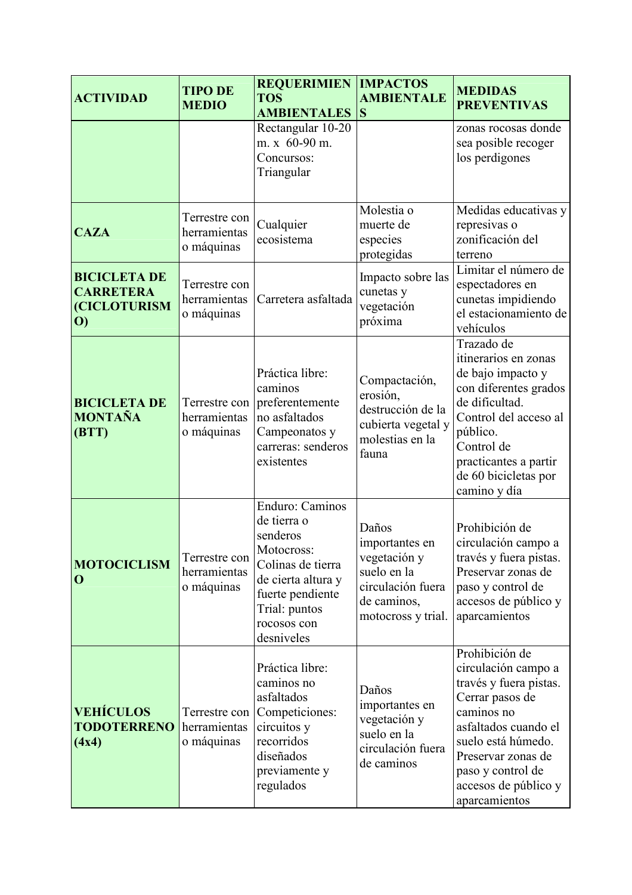| <b>ACTIVIDAD</b>                                                                             | <b>TIPO DE</b><br><b>MEDIO</b>              | <b>REQUERIMIEN</b><br><b>TOS</b><br><b>AMBIENTALES</b>                                                                                                                | <b>IMPACTOS</b><br><b>AMBIENTALE</b><br>S                                                                        | <b>MEDIDAS</b><br><b>PREVENTIVAS</b>                                                                                                                                                                                               |
|----------------------------------------------------------------------------------------------|---------------------------------------------|-----------------------------------------------------------------------------------------------------------------------------------------------------------------------|------------------------------------------------------------------------------------------------------------------|------------------------------------------------------------------------------------------------------------------------------------------------------------------------------------------------------------------------------------|
|                                                                                              |                                             | Rectangular 10-20<br>m. x 60-90 m.<br>Concursos:<br>Triangular                                                                                                        |                                                                                                                  | zonas rocosas donde<br>sea posible recoger<br>los perdigones                                                                                                                                                                       |
| <b>CAZA</b>                                                                                  | Terrestre con<br>herramientas<br>o máquinas | Cualquier<br>ecosistema                                                                                                                                               | Molestia o<br>muerte de<br>especies<br>protegidas                                                                | Medidas educativas y<br>represivas o<br>zonificación del<br>terreno                                                                                                                                                                |
| <b>BICICLETA DE</b><br><b>CARRETERA</b><br><b>(CICLOTURISM)</b><br>$\boldsymbol{\mathrm{O}}$ | Terrestre con<br>herramientas<br>o máquinas | Carretera asfaltada                                                                                                                                                   | Impacto sobre las<br>cunetas y<br>vegetación<br>próxima                                                          | Limitar el número de<br>espectadores en<br>cunetas impidiendo<br>el estacionamiento de<br>vehículos                                                                                                                                |
| <b>BICICLETA DE</b><br><b>MONTAÑA</b><br>(BTT)                                               | Terrestre con<br>herramientas<br>o máquinas | Práctica libre:<br>caminos<br>preferentemente<br>no asfaltados<br>Campeonatos y<br>carreras: senderos<br>existentes                                                   | Compactación,<br>erosión,<br>destrucción de la<br>cubierta vegetal y<br>molestias en la<br>fauna                 | Trazado de<br>itinerarios en zonas<br>de bajo impacto y<br>con diferentes grados<br>de dificultad.<br>Control del acceso al<br>público.<br>Control de<br>practicantes a partir<br>de 60 bicicletas por<br>camino y día             |
| <b>MOTOCICLISM</b><br>$\mathbf 0$                                                            | Terrestre con<br>herramientas<br>o máquinas | Enduro: Caminos<br>de tierra o<br>senderos<br>Motocross:<br>Colinas de tierra<br>de cierta altura y<br>fuerte pendiente<br>Trial: puntos<br>rocosos con<br>desniveles | Daños<br>importantes en<br>vegetación y<br>suelo en la<br>circulación fuera<br>de caminos,<br>motocross y trial. | Prohibición de<br>circulación campo a<br>través y fuera pistas.<br>Preservar zonas de<br>paso y control de<br>accesos de público y<br>aparcamientos                                                                                |
| <b>VEHÍCULOS</b><br><b>TODOTERRENO</b><br>(4x4)                                              | Terrestre con<br>herramientas<br>o máquinas | Práctica libre:<br>caminos no<br>asfaltados<br>Competiciones:<br>circuitos y<br>recorridos<br>diseñados<br>previamente y<br>regulados                                 | Daños<br>importantes en<br>vegetación y<br>suelo en la<br>circulación fuera<br>de caminos                        | Prohibición de<br>circulación campo a<br>través y fuera pistas.<br>Cerrar pasos de<br>caminos no<br>asfaltados cuando el<br>suelo está húmedo.<br>Preservar zonas de<br>paso y control de<br>accesos de público y<br>aparcamientos |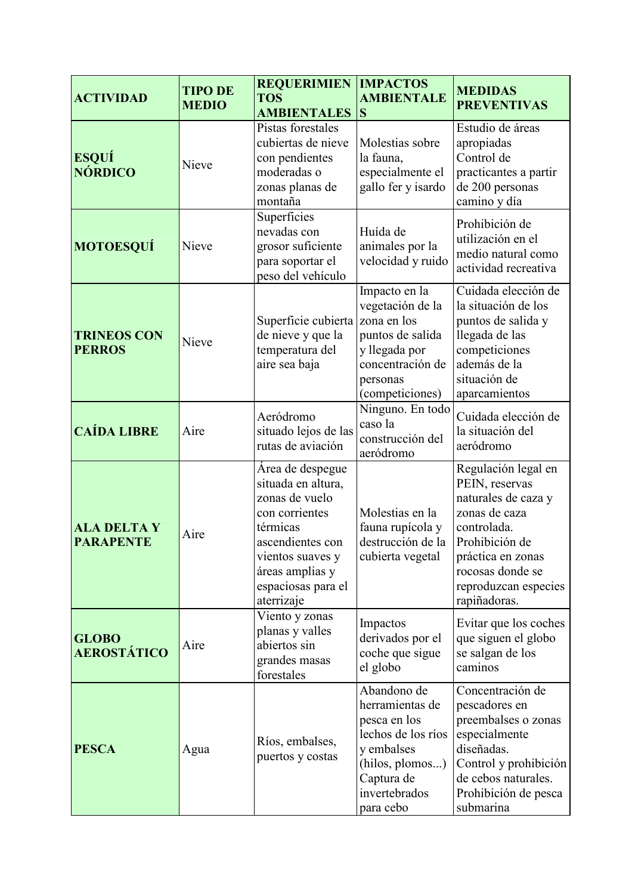| <b>ACTIVIDAD</b>                       | <b>TIPO DE</b><br><b>MEDIO</b> | <b>REQUERIMIEN</b><br><b>TOS</b><br><b>AMBIENTALES</b>                                                                                                                                | <b>IMPACTOS</b><br><b>AMBIENTALE</b><br>S                                                                                                         | <b>MEDIDAS</b><br><b>PREVENTIVAS</b>                                                                                                                                                            |
|----------------------------------------|--------------------------------|---------------------------------------------------------------------------------------------------------------------------------------------------------------------------------------|---------------------------------------------------------------------------------------------------------------------------------------------------|-------------------------------------------------------------------------------------------------------------------------------------------------------------------------------------------------|
| <b>ESQUÍ</b><br><b>NÓRDICO</b>         | Nieve                          | Pistas forestales<br>cubiertas de nieve<br>con pendientes<br>moderadas o<br>zonas planas de<br>montaña                                                                                | Molestias sobre<br>la fauna,<br>especialmente el<br>gallo fer y isardo                                                                            | Estudio de áreas<br>apropiadas<br>Control de<br>practicantes a partir<br>de 200 personas<br>camino y día                                                                                        |
| <b>MOTOESQUÍ</b>                       | Nieve                          | Superficies<br>nevadas con<br>grosor suficiente<br>para soportar el<br>peso del vehículo                                                                                              | Huída de<br>animales por la<br>velocidad y ruido                                                                                                  | Prohibición de<br>utilización en el<br>medio natural como<br>actividad recreativa                                                                                                               |
| <b>TRINEOS CON</b><br><b>PERROS</b>    | Nieve                          | Superficie cubierta zona en los<br>de nieve y que la<br>temperatura del<br>aire sea baja                                                                                              | Impacto en la<br>vegetación de la<br>puntos de salida<br>y llegada por<br>concentración de<br>personas<br>(competiciones)                         | Cuidada elección de<br>la situación de los<br>puntos de salida y<br>llegada de las<br>competiciones<br>además de la<br>situación de<br>aparcamientos                                            |
| <b>CAÍDA LIBRE</b>                     | Aire                           | Aeródromo<br>situado lejos de las<br>rutas de aviación                                                                                                                                | Ninguno. En todo<br>caso la<br>construcción del<br>aeródromo                                                                                      | Cuidada elección de<br>la situación del<br>aeródromo                                                                                                                                            |
| <b>ALA DELTA Y</b><br><b>PARAPENTE</b> | Aire                           | Area de despegue<br>situada en altura,<br>zonas de vuelo<br>con corrientes<br>térmicas<br>ascendientes con<br>vientos suaves y<br>áreas amplias y<br>espaciosas para el<br>aterrizaje | Molestias en la<br>fauna rupícola y<br>destrucción de la<br>cubierta vegetal                                                                      | Regulación legal en<br>PEIN, reservas<br>naturales de caza y<br>zonas de caza<br>controlada.<br>Prohibición de<br>práctica en zonas<br>rocosas donde se<br>reproduzcan especies<br>rapiñadoras. |
| <b>GLOBO</b><br><b>AEROSTÁTICO</b>     | Aire                           | Viento y zonas<br>planas y valles<br>abiertos sin<br>grandes masas<br>forestales                                                                                                      | Impactos<br>derivados por el<br>coche que sigue<br>el globo                                                                                       | Evitar que los coches<br>que siguen el globo<br>se salgan de los<br>caminos                                                                                                                     |
| <b>PESCA</b>                           | Agua                           | Ríos, embalses,<br>puertos y costas                                                                                                                                                   | Abandono de<br>herramientas de<br>pesca en los<br>lechos de los ríos<br>y embalses<br>(hilos, plomos)<br>Captura de<br>invertebrados<br>para cebo | Concentración de<br>pescadores en<br>preembalses o zonas<br>especialmente<br>diseñadas.<br>Control y prohibición<br>de cebos naturales.<br>Prohibición de pesca<br>submarina                    |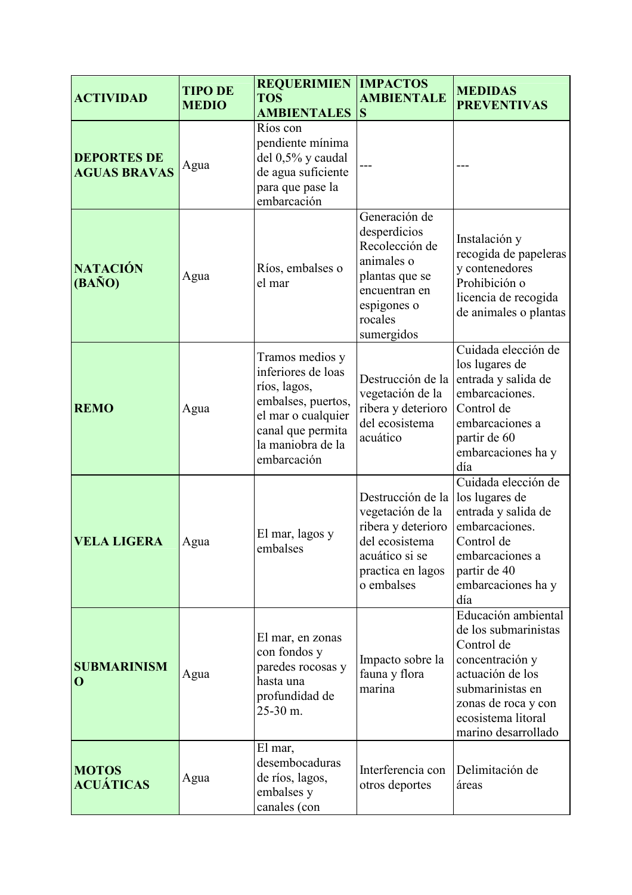| <b>ACTIVIDAD</b>                          | <b>TIPO DE</b><br><b>MEDIO</b> | <b>REQUERIMIEN</b><br><b>TOS</b><br><b>AMBIENTALES</b>                                                                                                     | <b>IMPACTOS</b><br><b>AMBIENTALE</b><br>S                                                                                                | <b>MEDIDAS</b><br><b>PREVENTIVAS</b>                                                                                                                                                     |
|-------------------------------------------|--------------------------------|------------------------------------------------------------------------------------------------------------------------------------------------------------|------------------------------------------------------------------------------------------------------------------------------------------|------------------------------------------------------------------------------------------------------------------------------------------------------------------------------------------|
| <b>DEPORTES DE</b><br><b>AGUAS BRAVAS</b> | Agua                           | Ríos con<br>pendiente mínima<br>del 0,5% y caudal<br>de agua suficiente<br>para que pase la<br>embarcación                                                 |                                                                                                                                          |                                                                                                                                                                                          |
| <b>NATACIÓN</b><br>$(BA\tilde{N}O)$       | Agua                           | Ríos, embalses o<br>el mar                                                                                                                                 | Generación de<br>desperdicios<br>Recolección de<br>animales o<br>plantas que se<br>encuentran en<br>espigones o<br>rocales<br>sumergidos | Instalación y<br>recogida de papeleras<br>y contenedores<br>Prohibición o<br>licencia de recogida<br>de animales o plantas                                                               |
| <b>REMO</b>                               | Agua                           | Tramos medios y<br>inferiores de loas<br>ríos, lagos,<br>embalses, puertos,<br>el mar o cualquier<br>canal que permita<br>la maniobra de la<br>embarcación | Destrucción de la<br>vegetación de la<br>ribera y deterioro<br>del ecosistema<br>acuático                                                | Cuidada elección de<br>los lugares de<br>entrada y salida de<br>embarcaciones.<br>Control de<br>embarcaciones a<br>partir de 60<br>embarcaciones ha y<br>día                             |
| <b>VELA LIGERA</b>                        | Agua                           | El mar, lagos y<br>embalses                                                                                                                                | Destrucción de la<br>vegetación de la<br>ribera y deterioro<br>del ecosistema<br>acuático si se<br>practica en lagos<br>o embalses       | Cuidada elección de<br>los lugares de<br>entrada y salida de<br>embarcaciones.<br>Control de<br>embarcaciones a<br>partir de 40<br>embarcaciones ha y<br>día                             |
| <b>SUBMARINISM</b><br>$\mathbf 0$         | Agua                           | El mar, en zonas<br>con fondos y<br>paredes rocosas y<br>hasta una<br>profundidad de<br>25-30 m.                                                           | Impacto sobre la<br>fauna y flora<br>marina                                                                                              | Educación ambiental<br>de los submarinistas<br>Control de<br>concentración y<br>actuación de los<br>submarinistas en<br>zonas de roca y con<br>ecosistema litoral<br>marino desarrollado |
| <b>MOTOS</b><br><b>ACUÁTICAS</b>          | Agua                           | El mar,<br>desembocaduras<br>de ríos, lagos,<br>embalses y<br>canales (con                                                                                 | Interferencia con<br>otros deportes                                                                                                      | Delimitación de<br>áreas                                                                                                                                                                 |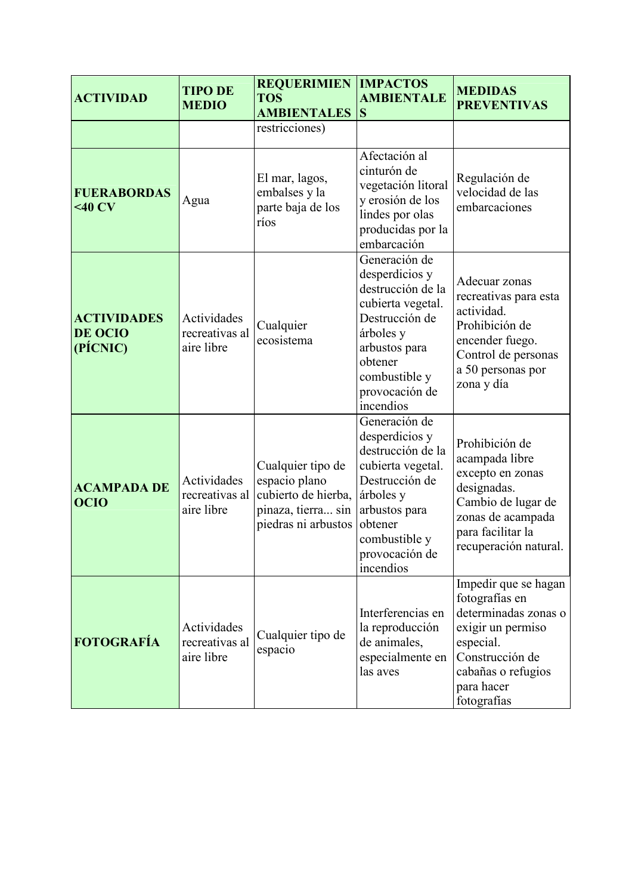| <b>ACTIVIDAD</b>                          | <b>TIPO DE</b><br><b>MEDIO</b>              | <b>REQUERIMIEN</b><br><b>TOS</b><br><b>AMBIENTALES</b>                                                 | <b>IMPACTOS</b><br><b>AMBIENTALE</b><br>S                                                                                                                                            | <b>MEDIDAS</b><br><b>PREVENTIVAS</b>                                                                                                                                   |
|-------------------------------------------|---------------------------------------------|--------------------------------------------------------------------------------------------------------|--------------------------------------------------------------------------------------------------------------------------------------------------------------------------------------|------------------------------------------------------------------------------------------------------------------------------------------------------------------------|
|                                           |                                             | restricciones)                                                                                         |                                                                                                                                                                                      |                                                                                                                                                                        |
| <b>FUERABORDAS</b><br>$<$ 40 CV           | Agua                                        | El mar, lagos,<br>embalses y la<br>parte baja de los<br>ríos                                           | Afectación al<br>cinturón de<br>vegetación litoral<br>y erosión de los<br>lindes por olas<br>producidas por la<br>embarcación                                                        | Regulación de<br>velocidad de las<br>embarcaciones                                                                                                                     |
| <b>ACTIVIDADES</b><br>DE OCIO<br>(PÍCNIC) | Actividades<br>recreativas al<br>aire libre | Cualquier<br>ecosistema                                                                                | Generación de<br>desperdicios y<br>destrucción de la<br>cubierta vegetal.<br>Destrucción de<br>árboles y<br>arbustos para<br>obtener<br>combustible y<br>provocación de<br>incendios | Adecuar zonas<br>recreativas para esta<br>actividad.<br>Prohibición de<br>encender fuego.<br>Control de personas<br>a 50 personas por<br>zona y día                    |
| <b>ACAMPADA DE</b><br><b>OCIO</b>         | Actividades<br>recreativas al<br>aire libre | Cualquier tipo de<br>espacio plano<br>cubierto de hierba,<br>pinaza, tierra sin<br>piedras ni arbustos | Generación de<br>desperdicios y<br>destrucción de la<br>cubierta vegetal.<br>Destrucción de<br>árboles y<br>arbustos para<br>obtener<br>combustible y<br>provocación de<br>incendios | Prohibición de<br>acampada libre<br>excepto en zonas<br>designadas.<br>Cambio de lugar de<br>zonas de acampada<br>para facilitar la<br>recuperación natural.           |
| <b>FOTOGRAFÍA</b>                         | Actividades<br>recreativas al<br>aire libre | Cualquier tipo de<br>espacio                                                                           | Interferencias en<br>la reproducción<br>de animales,<br>especialmente en<br>las aves                                                                                                 | Impedir que se hagan<br>fotografías en<br>determinadas zonas o<br>exigir un permiso<br>especial.<br>Construcción de<br>cabañas o refugios<br>para hacer<br>fotografías |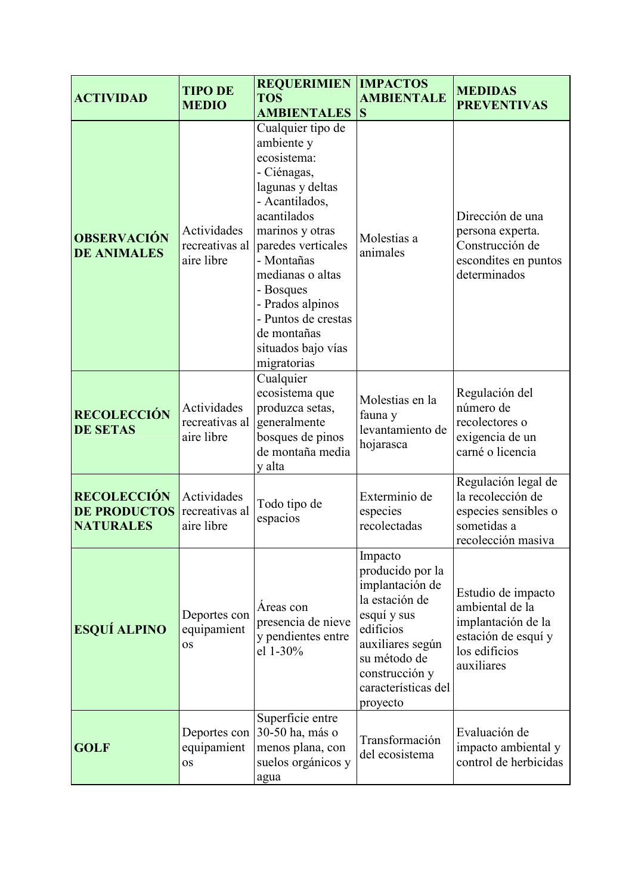| <b>ACTIVIDAD</b>                                              | <b>TIPO DE</b><br><b>MEDIO</b>              | <b>REQUERIMIEN   IMPACTOS</b><br><b>TOS</b><br><b>AMBIENTALES</b>                                                                                                                                                                                                                                         | <b>AMBIENTALE</b><br>S                                                                                                                                                                | <b>MEDIDAS</b><br><b>PREVENTIVAS</b>                                                                              |
|---------------------------------------------------------------|---------------------------------------------|-----------------------------------------------------------------------------------------------------------------------------------------------------------------------------------------------------------------------------------------------------------------------------------------------------------|---------------------------------------------------------------------------------------------------------------------------------------------------------------------------------------|-------------------------------------------------------------------------------------------------------------------|
| <b>OBSERVACIÓN</b><br><b>DE ANIMALES</b>                      | Actividades<br>recreativas al<br>aire libre | Cualquier tipo de<br>ambiente y<br>ecosistema:<br>- Ciénagas,<br>lagunas y deltas<br>- Acantilados,<br>acantilados<br>marinos y otras<br>paredes verticales<br>- Montañas<br>medianas o altas<br>- Bosques<br>- Prados alpinos<br>- Puntos de crestas<br>de montañas<br>situados bajo vías<br>migratorias | Molestias a<br>animales                                                                                                                                                               | Dirección de una<br>persona experta.<br>Construcción de<br>escondites en puntos<br>determinados                   |
| <b>RECOLECCIÓN</b><br><b>DE SETAS</b>                         | Actividades<br>recreativas al<br>aire libre | Cualquier<br>ecosistema que<br>produzca setas,<br>generalmente<br>bosques de pinos<br>de montaña media<br>y alta                                                                                                                                                                                          | Molestias en la<br>fauna y<br>levantamiento de<br>hojarasca                                                                                                                           | Regulación del<br>número de<br>recolectores o<br>exigencia de un<br>carné o licencia                              |
| <b>RECOLECCIÓN</b><br><b>DE PRODUCTOS</b><br><b>NATURALES</b> | Actividades<br>recreativas al<br>aire libre | Todo tipo de<br>espacios                                                                                                                                                                                                                                                                                  | Exterminio de<br>especies<br>recolectadas                                                                                                                                             | Regulación legal de<br>la recolección de<br>especies sensibles o<br>sometidas a<br>recolección masiva             |
| <b>ESQUÍ ALPINO</b>                                           | Deportes con<br>equipamient<br><b>OS</b>    | Areas con<br>presencia de nieve<br>y pendientes entre<br>el 1-30%                                                                                                                                                                                                                                         | Impacto<br>producido por la<br>implantación de<br>la estación de<br>esquí y sus<br>edificios<br>auxiliares según<br>su método de<br>construcción y<br>características del<br>proyecto | Estudio de impacto<br>ambiental de la<br>implantación de la<br>estación de esquí y<br>los edificios<br>auxiliares |
| <b>GOLF</b>                                                   | Deportes con<br>equipamient<br><b>OS</b>    | Superficie entre<br>30-50 ha, más o<br>menos plana, con<br>suelos orgánicos y<br>agua                                                                                                                                                                                                                     | Transformación<br>del ecosistema                                                                                                                                                      | Evaluación de<br>impacto ambiental y<br>control de herbicidas                                                     |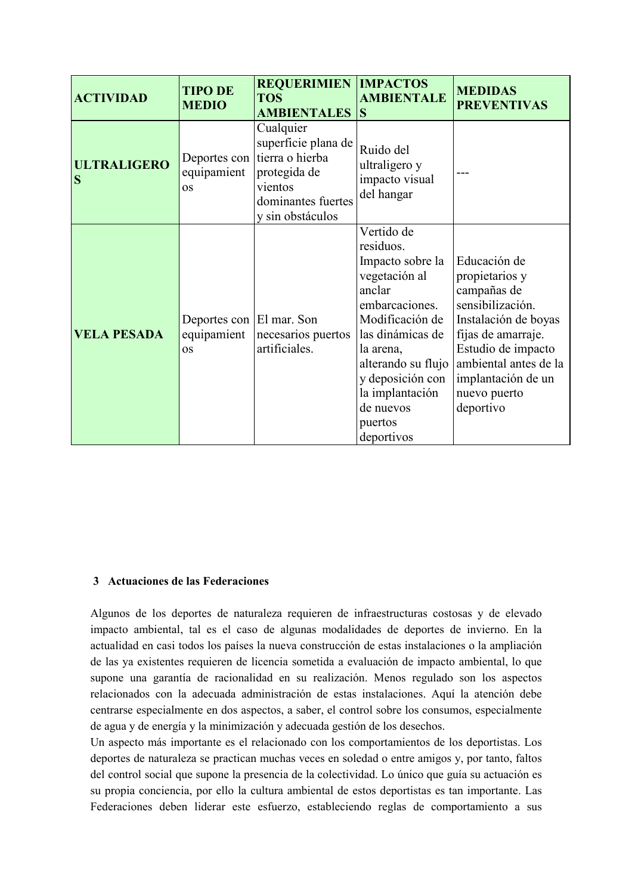| <b>ACTIVIDAD</b>        | <b>TIPO DE</b><br><b>MEDIO</b>                       | <b>REQUERIMIEN   IMPACTOS</b><br><b>TOS</b><br><b>AMBIENTALES</b>                                                        | <b>AMBIENTALE</b><br><b>S</b>                                                                                                                                                                                                                   | <b>MEDIDAS</b><br><b>PREVENTIVAS</b>                                                                                                                                                                              |
|-------------------------|------------------------------------------------------|--------------------------------------------------------------------------------------------------------------------------|-------------------------------------------------------------------------------------------------------------------------------------------------------------------------------------------------------------------------------------------------|-------------------------------------------------------------------------------------------------------------------------------------------------------------------------------------------------------------------|
| <b>ULTRALIGERO</b><br>S | Deportes con<br>equipamient<br><b>OS</b>             | Cualquier<br>superficie plana de<br>tierra o hierba<br>protegida de<br>vientos<br>dominantes fuertes<br>y sin obstáculos | Ruido del<br>ultraligero y<br>impacto visual<br>del hangar                                                                                                                                                                                      |                                                                                                                                                                                                                   |
| <b>VELA PESADA</b>      | Deportes con El mar. Son<br>equipamient<br><b>OS</b> | necesarios puertos<br>artificiales.                                                                                      | Vertido de<br>residuos.<br>Impacto sobre la<br>vegetación al<br>anclar<br>embarcaciones.<br>Modificación de<br>las dinámicas de<br>la arena,<br>alterando su flujo<br>y deposición con<br>la implantación<br>de nuevos<br>puertos<br>deportivos | Educación de<br>propietarios y<br>campañas de<br>sensibilización.<br>Instalación de boyas<br>fijas de amarraje.<br>Estudio de impacto<br>ambiental antes de la<br>implantación de un<br>nuevo puerto<br>deportivo |

#### 3 Actuaciones de las Federaciones

Algunos de los deportes de naturaleza requieren de infraestructuras costosas y de elevado impacto ambiental, tal es el caso de algunas modalidades de deportes de invierno. En la actualidad en casi todos los países la nueva construcción de estas instalaciones o la ampliación de las ya existentes requieren de licencia sometida a evaluación de impacto ambiental, lo que supone una garantía de racionalidad en su realización. Menos regulado son los aspectos relacionados con la adecuada administración de estas instalaciones. Aquí la atención debe centrarse especialmente en dos aspectos, a saber, el control sobre los consumos, especialmente de agua y de energía y la minimización y adecuada gestión de los desechos.

Un aspecto más importante es el relacionado con los comportamientos de los deportistas. Los deportes de naturaleza se practican muchas veces en soledad o entre amigos y, por tanto, faltos del control social que supone la presencia de la colectividad. Lo único que guía su actuación es su propia conciencia, por ello la cultura ambiental de estos deportistas es tan importante. Las Federaciones deben liderar este esfuerzo, estableciendo reglas de comportamiento a sus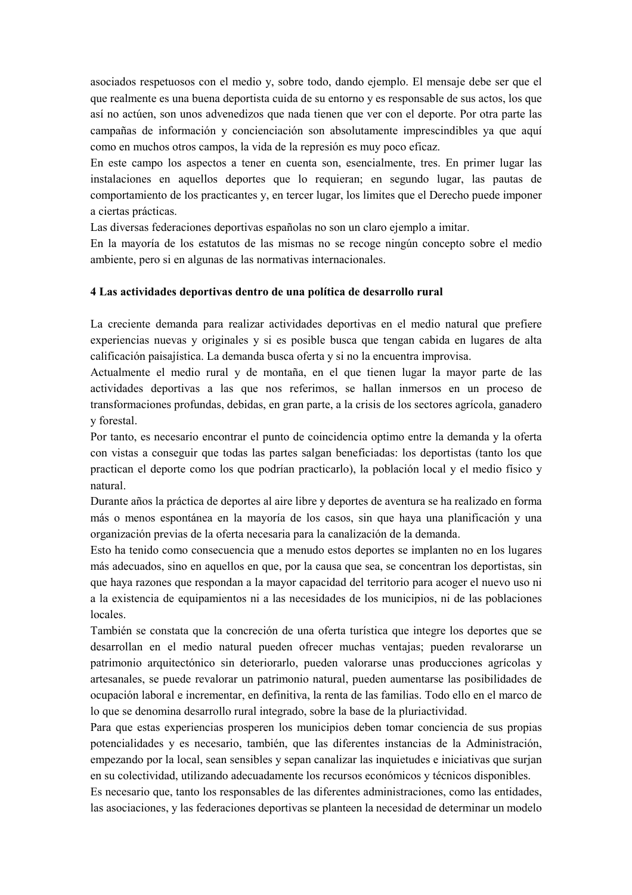asociados respetuosos con el medio y, sobre todo, dando ejemplo. El mensaje debe ser que el que realmente es una buena deportista cuida de su entorno y es responsable de sus actos, los que así no actúen, son unos advenedizos que nada tienen que ver con el deporte. Por otra parte las campañas de información y concienciación son absolutamente imprescindibles ya que aquí como en muchos otros campos, la vida de la represión es muy poco eficaz.

En este campo los aspectos a tener en cuenta son, esencialmente, tres. En primer lugar las instalaciones en aquellos deportes que lo requieran; en segundo lugar, las pautas de comportamiento de los practicantes y, en tercer lugar, los limites que el Derecho puede imponer a ciertas prácticas.

Las diversas federaciones deportivas españolas no son un claro ejemplo a imitar.

En la mayoría de los estatutos de las mismas no se recoge ningún concepto sobre el medio ambiente, pero si en algunas de las normativas internacionales.

#### 4 Las actividades deportivas dentro de una política de desarrollo rural

La creciente demanda para realizar actividades deportivas en el medio natural que prefiere experiencias nuevas y originales y si es posible busca que tengan cabida en lugares de alta calificación paisajística. La demanda busca oferta y si no la encuentra improvisa.

Actualmente el medio rural y de montaña, en el que tienen lugar la mayor parte de las actividades deportivas a las que nos referimos, se hallan inmersos en un proceso de transformaciones profundas, debidas, en gran parte, a la crisis de los sectores agrícola, ganadero v forestal.

Por tanto, es necesario encontrar el punto de coincidencia optimo entre la demanda y la oferta con vistas a conseguir que todas las partes salgan beneficiadas: los deportistas (tanto los que practican el deporte como los que podrían practicarlo), la población local y el medio físico y natural.

Durante años la práctica de deportes al aire libre y deportes de aventura se ha realizado en forma más o menos espontánea en la mayoría de los casos, sin que haya una planificación y una organización previas de la oferta necesaria para la canalización de la demanda.

Esto ha tenido como consecuencia que a menudo estos deportes se implanten no en los lugares más adecuados, sino en aquellos en que, por la causa que sea, se concentran los deportistas, sin que haya razones que respondan a la mayor capacidad del territorio para acoger el nuevo uso ni a la existencia de equipamientos ni a las necesidades de los municipios, ni de las poblaciones locales.

También se constata que la concreción de una oferta turística que integre los deportes que se desarrollan en el medio natural pueden ofrecer muchas ventajas: pueden revalorarse un patrimonio arquitectónico sin deteriorarlo, pueden valorarse unas producciones agrícolas y artesanales, se puede revalorar un patrimonio natural, pueden aumentarse las posibilidades de ocupación laboral e incrementar, en definitiva, la renta de las familias. Todo ello en el marco de lo que se denomina desarrollo rural integrado, sobre la base de la pluriactividad.

Para que estas experiencias prosperen los municipios deben tomar conciencia de sus propias potencialidades y es necesario, también, que las diferentes instancias de la Administración, empezando por la local, sean sensibles y sepan canalizar las inquietudes e iniciativas que surjan en su colectividad, utilizando adecuadamente los recursos económicos y técnicos disponibles.

Es necesario que, tanto los responsables de las diferentes administraciones, como las entidades, las asociaciones, y las federaciones deportivas se planteen la necesidad de determinar un modelo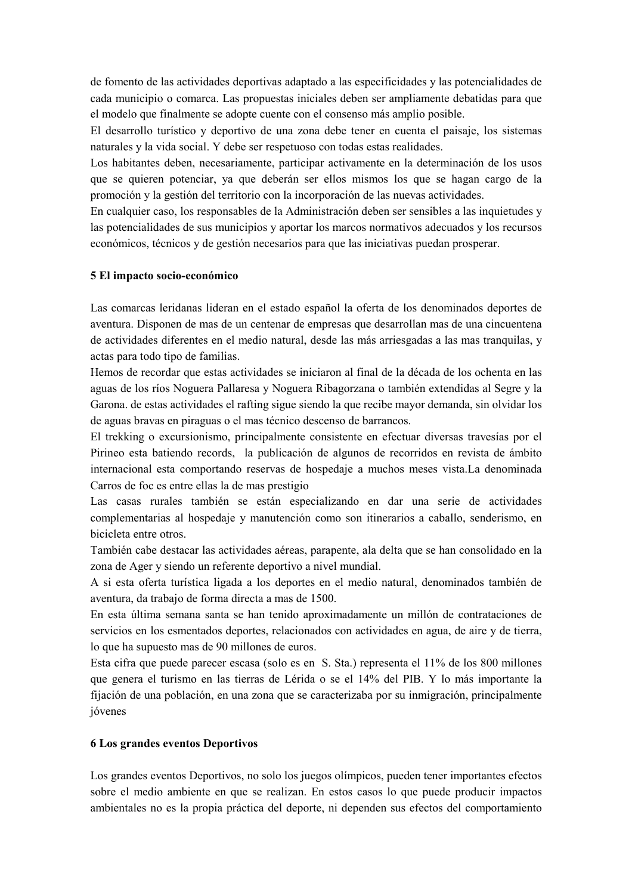de fomento de las actividades deportivas adaptado a las especificidades y las potencialidades de cada municipio o comarca. Las propuestas iniciales deben ser ampliamente debatidas para que el modelo que finalmente se adopte cuente con el consenso más amplio posible.

El desarrollo turístico y deportivo de una zona debe tener en cuenta el paisaje, los sistemas naturales y la vida social. Y debe ser respetuoso con todas estas realidades.

Los habitantes deben, necesariamente, participar activamente en la determinación de los usos que se quieren potenciar, ya que deberán ser ellos mismos los que se hagan cargo de la promoción y la gestión del territorio con la incorporación de las nuevas actividades.

En cualquier caso, los responsables de la Administración deben ser sensibles a las inquietudes y las potencialidades de sus municipios y aportar los marcos normativos adecuados y los recursos económicos, técnicos y de gestión necesarios para que las iniciativas puedan prosperar.

#### 5 El impacto socio-económico

Las comarcas leridanas lideran en el estado español la oferta de los denominados deportes de aventura. Disponen de mas de un centenar de empresas que desarrollan mas de una cincuentena de actividades diferentes en el medio natural, desde las más arriesgadas a las mas tranquilas, y actas para todo tipo de familias.

Hemos de recordar que estas actividades se iniciaron al final de la década de los ochenta en las aguas de los ríos Noguera Pallaresa y Noguera Ribagorzana o también extendidas al Segre y la Garona, de estas actividades el rafting sigue siendo la que recibe mayor demanda, sin olvidar los de aguas bravas en piraguas o el mas técnico descenso de barrancos.

El trekking o excursionismo, principalmente consistente en efectuar diversas travesías por el Pirineo esta batiendo records, la publicación de algunos de recorridos en revista de ámbito internacional esta comportando reservas de hospedaje a muchos meses vista.La denominada Carros de foc es entre ellas la de mas prestigio

Las casas rurales también se están especializando en dar una serie de actividades complementarias al hospedaje y manutención como son itinerarios a caballo, senderismo, en bicicleta entre otros.

También cabe destacar las actividades aéreas, parapente, ala delta que se han consolidado en la zona de Ager y siendo un referente deportivo a nivel mundial.

A si esta oferta turística ligada a los deportes en el medio natural, denominados también de aventura, da trabajo de forma directa a mas de 1500.

En esta última semana santa se han tenido aproximadamente un millón de contrataciones de servicios en los esmentados deportes, relacionados con actividades en agua, de aire y de tierra, lo que ha supuesto mas de 90 millones de euros.

Esta cifra que puede parecer escasa (solo es en S. Sta.) representa el 11% de los 800 millones que genera el turismo en las tierras de Lérida o se el 14% del PIB. Y lo más importante la fijación de una población, en una zona que se caracterizaba por su inmigración, principalmente jóvenes

## **6 Los grandes eventos Deportivos**

Los grandes eventos Deportivos, no solo los juegos olímpicos, pueden tener importantes efectos sobre el medio ambiente en que se realizan. En estos casos lo que puede producir impactos ambientales no es la propia práctica del deporte, ni dependen sus efectos del comportamiento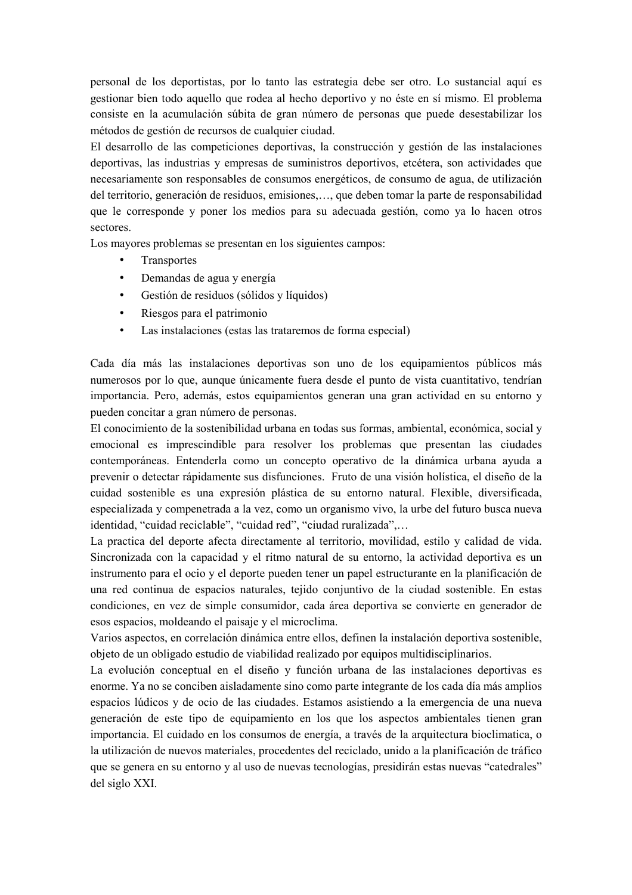personal de los deportistas, por lo tanto las estrategia debe ser otro. Lo sustancial aquí es gestionar bien todo aquello que rodea al hecho deportivo y no éste en sí mismo. El problema consiste en la acumulación súbita de gran número de personas que puede desestabilizar los métodos de gestión de recursos de cualquier ciudad.

El desarrollo de las competiciones deportivas, la construcción y gestión de las instalaciones deportivas, las industrias y empresas de suministros deportivos, etcétera, son actividades que necesariamente son responsables de consumos energéticos, de consumo de agua, de utilización del territorio, generación de residuos, emisiones,..., que deben tomar la parte de responsabilidad que le corresponde y poner los medios para su adecuada gestión, como ya lo hacen otros sectores.

Los mayores problemas se presentan en los siguientes campos:

- $\bullet$ Transportes
- Demandas de agua y energía  $\bullet$
- Gestión de residuos (sólidos y líquidos)  $\bullet$
- Riesgos para el patrimonio  $\bullet$
- $\bullet$ Las instalaciones (estas las trataremos de forma especial)

Cada día más las instalaciones deportivas son uno de los equipamientos públicos más numerosos por lo que, aunque únicamente fuera desde el punto de vista cuantitativo, tendrían importancia. Pero, además, estos equipamientos generan una gran actividad en su entorno y pueden concitar a gran número de personas.

El conocimiento de la sostenibilidad urbana en todas sus formas, ambiental, económica, social y emocional es imprescindible para resolver los problemas que presentan las ciudades contemporáneas. Entenderla como un concepto operativo de la dinámica urbana ayuda a prevenir o detectar rápidamente sus disfunciones. Fruto de una visión holística, el diseño de la cuidad sostenible es una expresión plástica de su entorno natural. Flexible, diversificada, especializada y compenetrada a la vez, como un organismo vivo, la urbe del futuro busca nueva identidad, "cuidad reciclable", "cuidad red", "ciudad ruralizada",...

La practica del deporte afecta directamente al territorio, movilidad, estilo y calidad de vida. Sincronizada con la capacidad y el ritmo natural de su entorno, la actividad deportiva es un instrumento para el ocio y el deporte pueden tener un papel estructurante en la planificación de una red continua de espacios naturales, tejido conjuntivo de la ciudad sostenible. En estas condiciones, en vez de simple consumidor, cada área deportiva se convierte en generador de esos espacios, moldeando el paisaje y el microclima.

Varios aspectos, en correlación dinámica entre ellos, definen la instalación deportiva sostenible. objeto de un obligado estudio de viabilidad realizado por equipos multidisciplinarios.

La evolución conceptual en el diseño y función urbana de las instalaciones deportivas es enorme. Ya no se conciben aisladamente sino como parte integrante de los cada día más amplios espacios lúdicos y de ocio de las ciudades. Estamos asistiendo a la emergencia de una nueva generación de este tipo de equipamiento en los que los aspectos ambientales tienen gran importancia. El cuidado en los consumos de energía, a través de la arquitectura bioclimatica, o la utilización de nuevos materiales, procedentes del reciclado, unido a la planificación de tráfico que se genera en su entorno y al uso de nuevas tecnologías, presidirán estas nuevas "catedrales" del siglo XXI.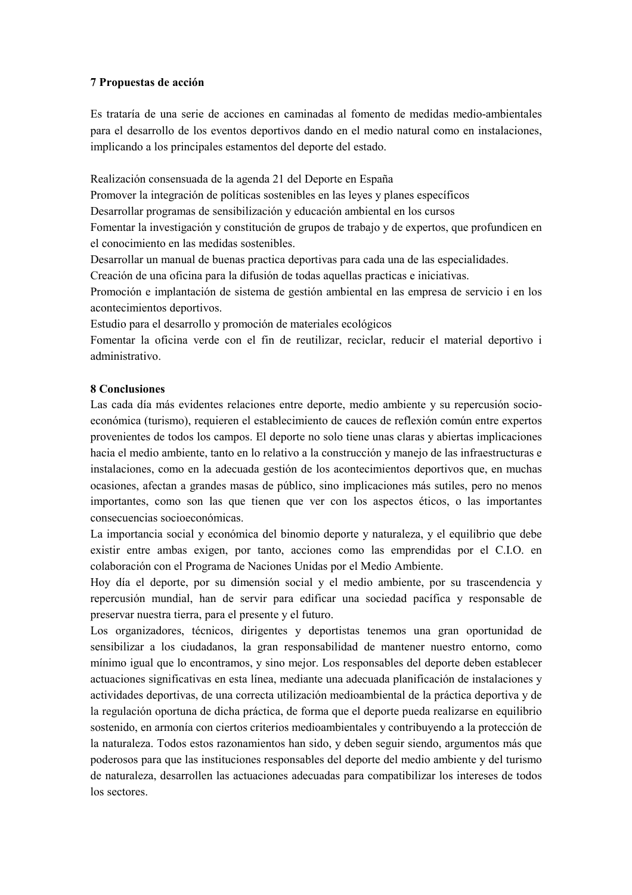#### 7 Propuestas de acción

Es trataría de una serie de acciones en caminadas al fomento de medidas medio-ambientales para el desarrollo de los eventos deportivos dando en el medio natural como en instalaciones, implicando a los principales estamentos del deporte del estado.

Realización consensuada de la agenda 21 del Deporte en España

Promover la integración de políticas sostenibles en las leyes y planes específicos

Desarrollar programas de sensibilización y educación ambiental en los cursos

Fomentar la investigación y constitución de grupos de trabajo y de expertos, que profundicen en el conocimiento en las medidas sostenibles.

Desarrollar un manual de buenas practica deportivas para cada una de las especialidades.

Creación de una oficina para la difusión de todas aquellas practicas e iniciativas.

Promoción e implantación de sistema de gestión ambiental en las empresa de servicio i en los acontecimientos deportivos.

Estudio para el desarrollo y promoción de materiales ecológicos

Fomentar la oficina verde con el fin de reutilizar, reciclar, reducir el material deportivo i administrativo

#### **8 Conclusiones**

Las cada día más evidentes relaciones entre deporte, medio ambiente y su repercusión socioeconómica (turismo), requieren el establecimiento de cauces de reflexión común entre expertos provenientes de todos los campos. El deporte no solo tiene unas claras y abiertas implicaciones hacia el medio ambiente, tanto en lo relativo a la construcción y manejo de las infraestructuras e instalaciones, como en la adecuada gestión de los acontecimientos deportivos que, en muchas ocasiones, afectan a grandes masas de público, sino implicaciones más sutiles, pero no menos importantes, como son las que tienen que ver con los aspectos éticos, o las importantes consecuencias socioeconómicas.

La importancia social y económica del binomio deporte y naturaleza, y el equilibrio que debe existir entre ambas exigen, por tanto, acciones como las emprendidas por el C.I.O. en colaboración con el Programa de Naciones Unidas por el Medio Ambiente.

Hoy día el deporte, por su dimensión social y el medio ambiente, por su trascendencia y repercusión mundial, han de servir para edificar una sociedad pacífica y responsable de preservar nuestra tierra, para el presente y el futuro.

Los organizadores, técnicos, dirigentes y deportistas tenemos una gran oportunidad de sensibilizar a los ciudadanos, la gran responsabilidad de mantener nuestro entorno, como mínimo igual que lo encontramos, y sino mejor. Los responsables del deporte deben establecer actuaciones significativas en esta línea, mediante una adecuada planificación de instalaciones y actividades deportivas, de una correcta utilización medioambiental de la práctica deportiva y de la regulación oportuna de dicha práctica, de forma que el deporte pueda realizarse en equilibrio sostenido, en armonía con ciertos criterios medioambientales y contribuyendo a la protección de la naturaleza. Todos estos razonamientos han sido, y deben seguir siendo, argumentos más que poderosos para que las instituciones responsables del deporte del medio ambiente y del turismo de naturaleza, desarrollen las actuaciones adecuadas para compatibilizar los intereses de todos los sectores.